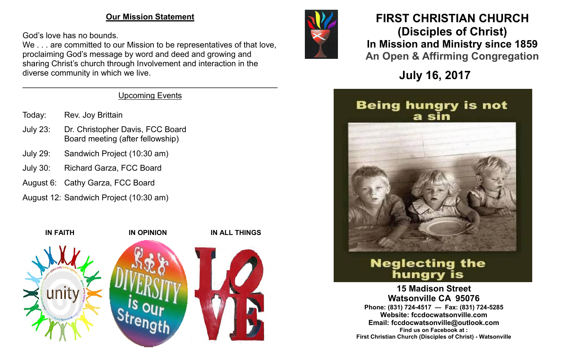#### **Our Mission Statement**

God's love has no bounds.

We . . . are committed to our Mission to be representatives of that love, proclaiming God's message by word and deed and growing and sharing Christ's church through Involvement and interaction in the diverse community in which we live.

#### $\mathcal{L}_\mathcal{L} = \mathcal{L}_\mathcal{L} = \mathcal{L}_\mathcal{L} = \mathcal{L}_\mathcal{L} = \mathcal{L}_\mathcal{L} = \mathcal{L}_\mathcal{L} = \mathcal{L}_\mathcal{L} = \mathcal{L}_\mathcal{L} = \mathcal{L}_\mathcal{L} = \mathcal{L}_\mathcal{L} = \mathcal{L}_\mathcal{L} = \mathcal{L}_\mathcal{L} = \mathcal{L}_\mathcal{L} = \mathcal{L}_\mathcal{L} = \mathcal{L}_\mathcal{L} = \mathcal{L}_\mathcal{L} = \mathcal{L}_\mathcal{L}$ Upcoming Events

- Today: Rev. Joy Brittain
- July 23: Dr. Christopher Davis, FCC Board Board meeting (after fellowship)
- July 29: Sandwich Project (10:30 am)
- July 30: Richard Garza, FCC Board
- August 6: Cathy Garza, FCC Board
- August 12: Sandwich Project (10:30 am)





## **FIRST CHRISTIAN CHURCH (Disciples of Christ) In Mission and Ministry since 1859 An Open & Affirming Congregation**

**July 16, 2017**

## **Being hungry is not** a sin



# **Neglecting the** hungry is

**15 Madison Street Watsonville CA 95076 Phone: (831) 724-4517 — Fax: (831) 724-5285 Website: fccdocwatsonville.com Email: fccdocwatsonville@outlook.com Find us on Facebook at : First Christian Church (Disciples of Christ) - Watsonville**